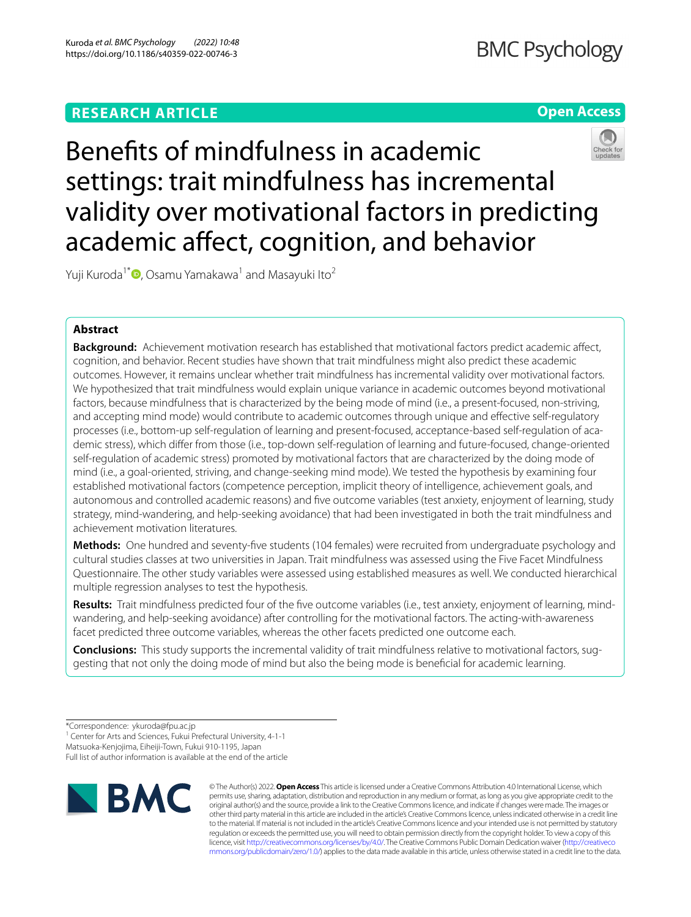# **RESEARCH ARTICLE**

# **Open Access**



Benefts of mindfulness in academic settings: trait mindfulness has incremental validity over motivational factors in predicting academic afect, cognition, and behavior

Yuji Kuroda<sup>1[\\*](http://orcid.org/0000-0002-6082-2749)</sup> $\Phi$ , Osamu Yamakawa<sup>1</sup> and Masayuki Ito<sup>2</sup>

# **Abstract**

**Background:** Achievement motivation research has established that motivational factors predict academic afect, cognition, and behavior. Recent studies have shown that trait mindfulness might also predict these academic outcomes. However, it remains unclear whether trait mindfulness has incremental validity over motivational factors. We hypothesized that trait mindfulness would explain unique variance in academic outcomes beyond motivational factors, because mindfulness that is characterized by the being mode of mind (i.e., a present-focused, non-striving, and accepting mind mode) would contribute to academic outcomes through unique and efective self-regulatory processes (i.e., bottom-up self-regulation of learning and present-focused, acceptance-based self-regulation of academic stress), which difer from those (i.e., top-down self-regulation of learning and future-focused, change-oriented self-regulation of academic stress) promoted by motivational factors that are characterized by the doing mode of mind (i.e., a goal-oriented, striving, and change-seeking mind mode). We tested the hypothesis by examining four established motivational factors (competence perception, implicit theory of intelligence, achievement goals, and autonomous and controlled academic reasons) and fve outcome variables (test anxiety, enjoyment of learning, study strategy, mind-wandering, and help-seeking avoidance) that had been investigated in both the trait mindfulness and achievement motivation literatures.

**Methods:** One hundred and seventy-fve students (104 females) were recruited from undergraduate psychology and cultural studies classes at two universities in Japan. Trait mindfulness was assessed using the Five Facet Mindfulness Questionnaire. The other study variables were assessed using established measures as well. We conducted hierarchical multiple regression analyses to test the hypothesis.

**Results:** Trait mindfulness predicted four of the fve outcome variables (i.e., test anxiety, enjoyment of learning, mindwandering, and help-seeking avoidance) after controlling for the motivational factors. The acting-with-awareness facet predicted three outcome variables, whereas the other facets predicted one outcome each.

**Conclusions:** This study supports the incremental validity of trait mindfulness relative to motivational factors, suggesting that not only the doing mode of mind but also the being mode is benefcial for academic learning.

<sup>1</sup> Center for Arts and Sciences, Fukui Prefectural University, 4-1-1

Matsuoka-Kenjojima, Eiheiji-Town, Fukui 910-1195, Japan

Full list of author information is available at the end of the article



© The Author(s) 2022. **Open Access** This article is licensed under a Creative Commons Attribution 4.0 International License, which permits use, sharing, adaptation, distribution and reproduction in any medium or format, as long as you give appropriate credit to the original author(s) and the source, provide a link to the Creative Commons licence, and indicate if changes were made. The images or other third party material in this article are included in the article's Creative Commons licence, unless indicated otherwise in a credit line to the material. If material is not included in the article's Creative Commons licence and your intended use is not permitted by statutory regulation or exceeds the permitted use, you will need to obtain permission directly from the copyright holder. To view a copy of this licence, visit [http://creativecommons.org/licenses/by/4.0/.](http://creativecommons.org/licenses/by/4.0/) The Creative Commons Public Domain Dedication waiver ([http://creativeco](http://creativecommons.org/publicdomain/zero/1.0/) [mmons.org/publicdomain/zero/1.0/](http://creativecommons.org/publicdomain/zero/1.0/)) applies to the data made available in this article, unless otherwise stated in a credit line to the data.

<sup>\*</sup>Correspondence: ykuroda@fpu.ac.jp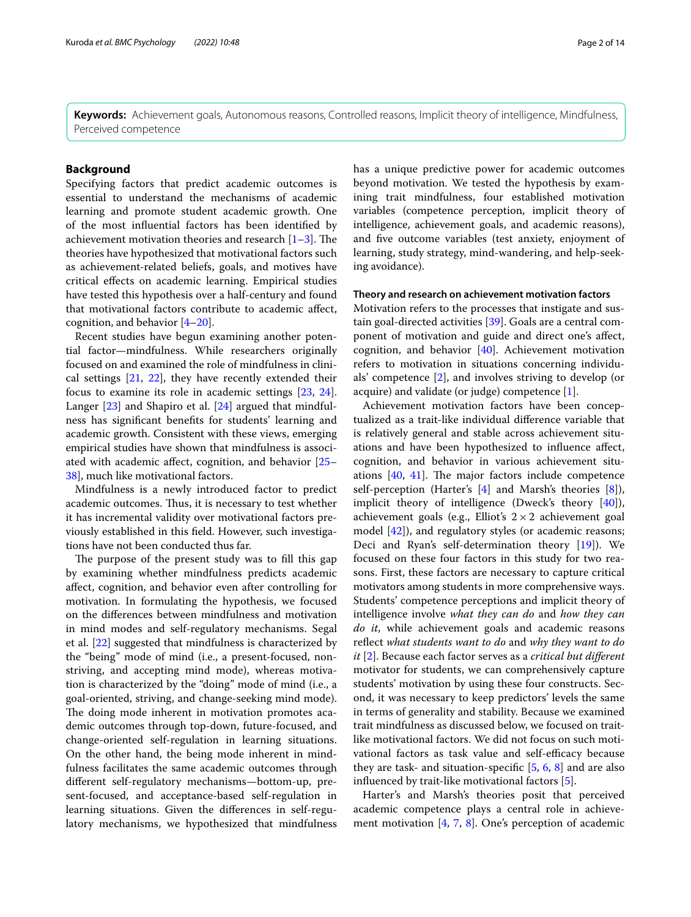**Keywords:** Achievement goals, Autonomous reasons, Controlled reasons, Implicit theory of intelligence, Mindfulness, Perceived competence

## **Background**

Specifying factors that predict academic outcomes is essential to understand the mechanisms of academic learning and promote student academic growth. One of the most infuential factors has been identifed by achievement motivation theories and research  $[1-3]$  $[1-3]$  $[1-3]$ . The theories have hypothesized that motivational factors such as achievement-related beliefs, goals, and motives have critical efects on academic learning. Empirical studies have tested this hypothesis over a half-century and found that motivational factors contribute to academic afect, cognition, and behavior [[4–](#page-11-2)[20](#page-12-0)].

Recent studies have begun examining another potential factor—mindfulness. While researchers originally focused on and examined the role of mindfulness in clinical settings [[21](#page-12-1), [22\]](#page-12-2), they have recently extended their focus to examine its role in academic settings [\[23](#page-12-3), [24](#page-12-4)]. Langer [[23](#page-12-3)] and Shapiro et al. [\[24](#page-12-4)] argued that mindfulness has signifcant benefts for students' learning and academic growth. Consistent with these views, emerging empirical studies have shown that mindfulness is associated with academic afect, cognition, and behavior [[25–](#page-12-5) [38\]](#page-12-6), much like motivational factors.

Mindfulness is a newly introduced factor to predict academic outcomes. Thus, it is necessary to test whether it has incremental validity over motivational factors previously established in this feld. However, such investigations have not been conducted thus far.

The purpose of the present study was to fill this gap by examining whether mindfulness predicts academic afect, cognition, and behavior even after controlling for motivation. In formulating the hypothesis, we focused on the diferences between mindfulness and motivation in mind modes and self-regulatory mechanisms. Segal et al. [[22](#page-12-2)] suggested that mindfulness is characterized by the "being" mode of mind (i.e., a present-focused, nonstriving, and accepting mind mode), whereas motivation is characterized by the "doing" mode of mind (i.e., a goal-oriented, striving, and change-seeking mind mode). The doing mode inherent in motivation promotes academic outcomes through top-down, future-focused, and change-oriented self-regulation in learning situations. On the other hand, the being mode inherent in mindfulness facilitates the same academic outcomes through diferent self-regulatory mechanisms—bottom-up, present-focused, and acceptance-based self-regulation in learning situations. Given the diferences in self-regulatory mechanisms, we hypothesized that mindfulness has a unique predictive power for academic outcomes beyond motivation. We tested the hypothesis by examining trait mindfulness, four established motivation variables (competence perception, implicit theory of intelligence, achievement goals, and academic reasons), and fve outcome variables (test anxiety, enjoyment of learning, study strategy, mind-wandering, and help-seeking avoidance).

#### **Theory and research on achievement motivation factors**

Motivation refers to the processes that instigate and sustain goal-directed activities [\[39](#page-12-7)]. Goals are a central component of motivation and guide and direct one's afect, cognition, and behavior [[40](#page-12-8)]. Achievement motivation refers to motivation in situations concerning individuals' competence [[2\]](#page-11-3), and involves striving to develop (or acquire) and validate (or judge) competence [[1\]](#page-11-0).

Achievement motivation factors have been conceptualized as a trait-like individual diference variable that is relatively general and stable across achievement situations and have been hypothesized to infuence afect, cognition, and behavior in various achievement situations  $[40, 41]$  $[40, 41]$  $[40, 41]$ . The major factors include competence self-perception (Harter's [\[4\]](#page-11-2) and Marsh's theories [\[8\]](#page-11-4)), implicit theory of intelligence (Dweck's theory [\[40\]](#page-12-8)), achievement goals (e.g., Elliot's  $2 \times 2$  achievement goal model [[42\]](#page-12-10)), and regulatory styles (or academic reasons; Deci and Ryan's self-determination theory [\[19](#page-12-11)]). We focused on these four factors in this study for two reasons. First, these factors are necessary to capture critical motivators among students in more comprehensive ways. Students' competence perceptions and implicit theory of intelligence involve *what they can do* and *how they can do it*, while achievement goals and academic reasons refect *what students want to do* and *why they want to do it* [\[2](#page-11-3)]. Because each factor serves as a *critical but diferent* motivator for students, we can comprehensively capture students' motivation by using these four constructs. Second, it was necessary to keep predictors' levels the same in terms of generality and stability. Because we examined trait mindfulness as discussed below, we focused on traitlike motivational factors. We did not focus on such motivational factors as task value and self-efficacy because they are task- and situation-specifc [[5,](#page-11-5) [6,](#page-11-6) [8\]](#page-11-4) and are also infuenced by trait-like motivational factors [[5\]](#page-11-5).

Harter's and Marsh's theories posit that perceived academic competence plays a central role in achievement motivation [[4,](#page-11-2) [7,](#page-11-7) [8](#page-11-4)]. One's perception of academic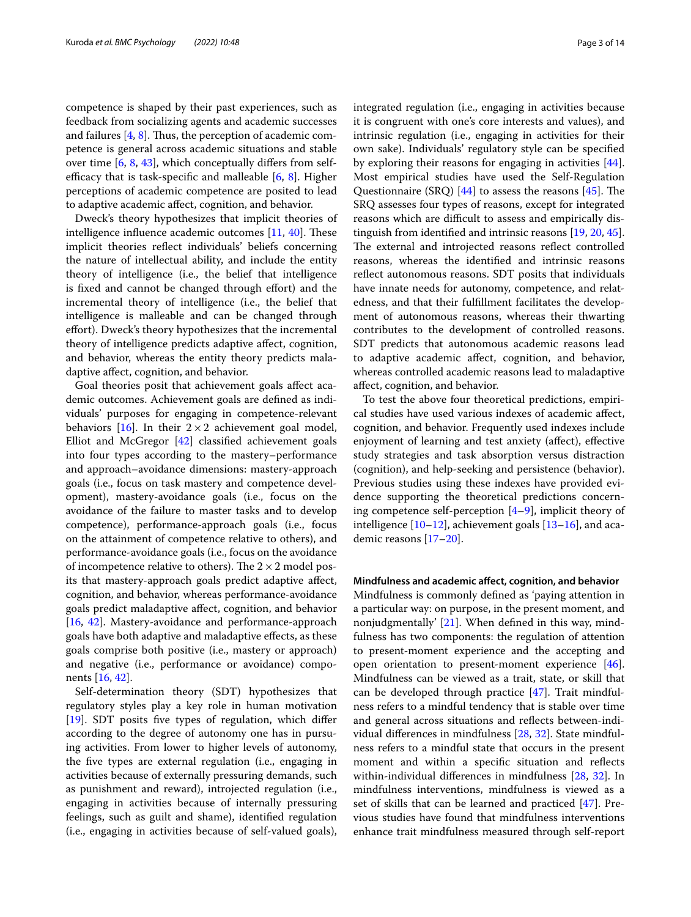competence is shaped by their past experiences, such as feedback from socializing agents and academic successes and failures  $[4, 8]$  $[4, 8]$  $[4, 8]$ . Thus, the perception of academic competence is general across academic situations and stable over time [[6,](#page-11-6) [8,](#page-11-4) [43\]](#page-12-12), which conceptually difers from selfefficacy that is task-specific and malleable  $[6, 8]$  $[6, 8]$  $[6, 8]$  $[6, 8]$  $[6, 8]$ . Higher perceptions of academic competence are posited to lead to adaptive academic afect, cognition, and behavior.

Dweck's theory hypothesizes that implicit theories of intelligence influence academic outcomes  $[11, 40]$  $[11, 40]$  $[11, 40]$  $[11, 40]$  $[11, 40]$ . These implicit theories refect individuals' beliefs concerning the nature of intellectual ability, and include the entity theory of intelligence (i.e., the belief that intelligence is fixed and cannot be changed through effort) and the incremental theory of intelligence (i.e., the belief that intelligence is malleable and can be changed through effort). Dweck's theory hypothesizes that the incremental theory of intelligence predicts adaptive afect, cognition, and behavior, whereas the entity theory predicts maladaptive afect, cognition, and behavior.

Goal theories posit that achievement goals afect academic outcomes. Achievement goals are defned as individuals' purposes for engaging in competence-relevant behaviors [[16\]](#page-12-13). In their  $2 \times 2$  achievement goal model, Elliot and McGregor [[42](#page-12-10)] classifed achievement goals into four types according to the mastery–performance and approach–avoidance dimensions: mastery-approach goals (i.e., focus on task mastery and competence development), mastery-avoidance goals (i.e., focus on the avoidance of the failure to master tasks and to develop competence), performance-approach goals (i.e., focus on the attainment of competence relative to others), and performance-avoidance goals (i.e., focus on the avoidance of incompetence relative to others). The  $2 \times 2$  model posits that mastery-approach goals predict adaptive afect, cognition, and behavior, whereas performance-avoidance goals predict maladaptive afect, cognition, and behavior [[16,](#page-12-13) [42\]](#page-12-10). Mastery-avoidance and performance-approach goals have both adaptive and maladaptive efects, as these goals comprise both positive (i.e., mastery or approach) and negative (i.e., performance or avoidance) components [[16](#page-12-13), [42\]](#page-12-10).

Self-determination theory (SDT) hypothesizes that regulatory styles play a key role in human motivation [[19\]](#page-12-11). SDT posits five types of regulation, which differ according to the degree of autonomy one has in pursuing activities. From lower to higher levels of autonomy, the fve types are external regulation (i.e., engaging in activities because of externally pressuring demands, such as punishment and reward), introjected regulation (i.e., engaging in activities because of internally pressuring feelings, such as guilt and shame), identifed regulation (i.e., engaging in activities because of self-valued goals), integrated regulation (i.e., engaging in activities because it is congruent with one's core interests and values), and intrinsic regulation (i.e., engaging in activities for their own sake). Individuals' regulatory style can be specifed by exploring their reasons for engaging in activities [\[44](#page-12-14)]. Most empirical studies have used the Self-Regulation Questionnaire (SRQ)  $[44]$  $[44]$  to assess the reasons  $[45]$ . The SRQ assesses four types of reasons, except for integrated reasons which are difficult to assess and empirically distinguish from identifed and intrinsic reasons [[19](#page-12-11), [20,](#page-12-0) [45](#page-12-15)]. The external and introjected reasons reflect controlled reasons, whereas the identifed and intrinsic reasons refect autonomous reasons. SDT posits that individuals have innate needs for autonomy, competence, and relatedness, and that their fulfllment facilitates the development of autonomous reasons, whereas their thwarting contributes to the development of controlled reasons. SDT predicts that autonomous academic reasons lead to adaptive academic afect, cognition, and behavior, whereas controlled academic reasons lead to maladaptive afect, cognition, and behavior.

To test the above four theoretical predictions, empirical studies have used various indexes of academic afect, cognition, and behavior. Frequently used indexes include enjoyment of learning and test anxiety (afect), efective study strategies and task absorption versus distraction (cognition), and help-seeking and persistence (behavior). Previous studies using these indexes have provided evidence supporting the theoretical predictions concerning competence self-perception [\[4](#page-11-2)[–9](#page-11-9)], implicit theory of intelligence  $[10-12]$  $[10-12]$ , achievement goals  $[13-16]$  $[13-16]$  $[13-16]$ , and academic reasons [[17](#page-12-18)[–20](#page-12-0)].

# **Mindfulness and academic afect, cognition, and behavior**

Mindfulness is commonly defned as 'paying attention in a particular way: on purpose, in the present moment, and nonjudgmentally' [[21\]](#page-12-1). When defned in this way, mindfulness has two components: the regulation of attention to present-moment experience and the accepting and open orientation to present-moment experience  $[46]$  $[46]$ . Mindfulness can be viewed as a trait, state, or skill that can be developed through practice [\[47](#page-12-20)]. Trait mindfulness refers to a mindful tendency that is stable over time and general across situations and refects between-individual diferences in mindfulness [\[28](#page-12-21), [32](#page-12-22)]. State mindfulness refers to a mindful state that occurs in the present moment and within a specifc situation and refects within-individual diferences in mindfulness [\[28](#page-12-21), [32\]](#page-12-22). In mindfulness interventions, mindfulness is viewed as a set of skills that can be learned and practiced [[47](#page-12-20)]. Previous studies have found that mindfulness interventions enhance trait mindfulness measured through self-report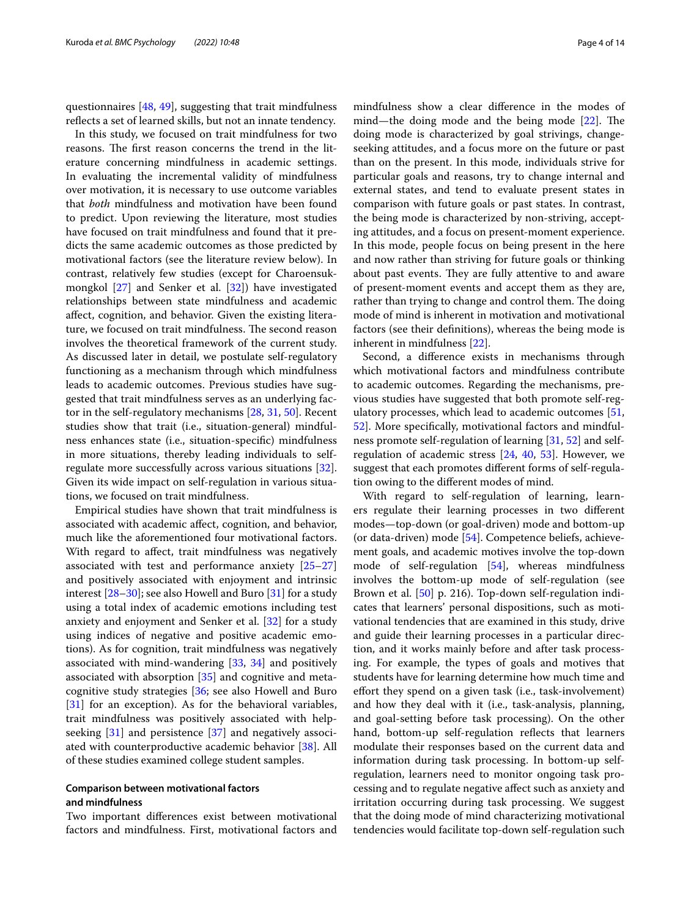questionnaires [[48](#page-12-23), [49](#page-12-24)], suggesting that trait mindfulness refects a set of learned skills, but not an innate tendency.

In this study, we focused on trait mindfulness for two reasons. The first reason concerns the trend in the literature concerning mindfulness in academic settings. In evaluating the incremental validity of mindfulness over motivation, it is necessary to use outcome variables that *both* mindfulness and motivation have been found to predict. Upon reviewing the literature, most studies have focused on trait mindfulness and found that it predicts the same academic outcomes as those predicted by motivational factors (see the literature review below). In contrast, relatively few studies (except for Charoensukmongkol [\[27](#page-12-25)] and Senker et al. [\[32\]](#page-12-22)) have investigated relationships between state mindfulness and academic afect, cognition, and behavior. Given the existing literature, we focused on trait mindfulness. The second reason involves the theoretical framework of the current study. As discussed later in detail, we postulate self-regulatory functioning as a mechanism through which mindfulness leads to academic outcomes. Previous studies have suggested that trait mindfulness serves as an underlying factor in the self-regulatory mechanisms [[28,](#page-12-21) [31](#page-12-26), [50\]](#page-12-27). Recent studies show that trait (i.e., situation-general) mindfulness enhances state (i.e., situation-specifc) mindfulness in more situations, thereby leading individuals to selfregulate more successfully across various situations [\[32](#page-12-22)]. Given its wide impact on self-regulation in various situations, we focused on trait mindfulness.

Empirical studies have shown that trait mindfulness is associated with academic afect, cognition, and behavior, much like the aforementioned four motivational factors. With regard to affect, trait mindfulness was negatively associated with test and performance anxiety [[25–](#page-12-5)[27](#page-12-25)] and positively associated with enjoyment and intrinsic interest [[28–](#page-12-21)[30](#page-12-28)]; see also Howell and Buro [[31\]](#page-12-26) for a study using a total index of academic emotions including test anxiety and enjoyment and Senker et al. [[32\]](#page-12-22) for a study using indices of negative and positive academic emotions). As for cognition, trait mindfulness was negatively associated with mind-wandering [\[33,](#page-12-29) [34\]](#page-12-30) and positively associated with absorption [[35](#page-12-31)] and cognitive and metacognitive study strategies [\[36;](#page-12-32) see also Howell and Buro [[31\]](#page-12-26) for an exception). As for the behavioral variables, trait mindfulness was positively associated with helpseeking [\[31\]](#page-12-26) and persistence [\[37](#page-12-33)] and negatively associated with counterproductive academic behavior [\[38](#page-12-6)]. All of these studies examined college student samples.

## **Comparison between motivational factors and mindfulness**

Two important diferences exist between motivational factors and mindfulness. First, motivational factors and mindfulness show a clear diference in the modes of mind—the doing mode and the being mode  $[22]$  $[22]$ . The doing mode is characterized by goal strivings, changeseeking attitudes, and a focus more on the future or past than on the present. In this mode, individuals strive for particular goals and reasons, try to change internal and external states, and tend to evaluate present states in comparison with future goals or past states. In contrast, the being mode is characterized by non-striving, accepting attitudes, and a focus on present-moment experience. In this mode, people focus on being present in the here and now rather than striving for future goals or thinking about past events. They are fully attentive to and aware of present-moment events and accept them as they are, rather than trying to change and control them. The doing mode of mind is inherent in motivation and motivational factors (see their defnitions), whereas the being mode is inherent in mindfulness [[22\]](#page-12-2).

Second, a diference exists in mechanisms through which motivational factors and mindfulness contribute to academic outcomes. Regarding the mechanisms, previous studies have suggested that both promote self-regulatory processes, which lead to academic outcomes [[51](#page-12-34), [52\]](#page-12-35). More specifcally, motivational factors and mindfulness promote self-regulation of learning [[31](#page-12-26), [52\]](#page-12-35) and selfregulation of academic stress [\[24](#page-12-4), [40,](#page-12-8) [53\]](#page-12-36). However, we suggest that each promotes diferent forms of self-regulation owing to the diferent modes of mind.

With regard to self-regulation of learning, learners regulate their learning processes in two diferent modes—top-down (or goal-driven) mode and bottom-up (or data-driven) mode [\[54](#page-12-37)]. Competence beliefs, achievement goals, and academic motives involve the top-down mode of self-regulation [\[54](#page-12-37)], whereas mindfulness involves the bottom-up mode of self-regulation (see Brown et al. [\[50](#page-12-27)] p. 216). Top-down self-regulation indicates that learners' personal dispositions, such as motivational tendencies that are examined in this study, drive and guide their learning processes in a particular direction, and it works mainly before and after task processing. For example, the types of goals and motives that students have for learning determine how much time and efort they spend on a given task (i.e., task-involvement) and how they deal with it (i.e., task-analysis, planning, and goal-setting before task processing). On the other hand, bottom-up self-regulation reflects that learners modulate their responses based on the current data and information during task processing. In bottom-up selfregulation, learners need to monitor ongoing task processing and to regulate negative afect such as anxiety and irritation occurring during task processing. We suggest that the doing mode of mind characterizing motivational tendencies would facilitate top-down self-regulation such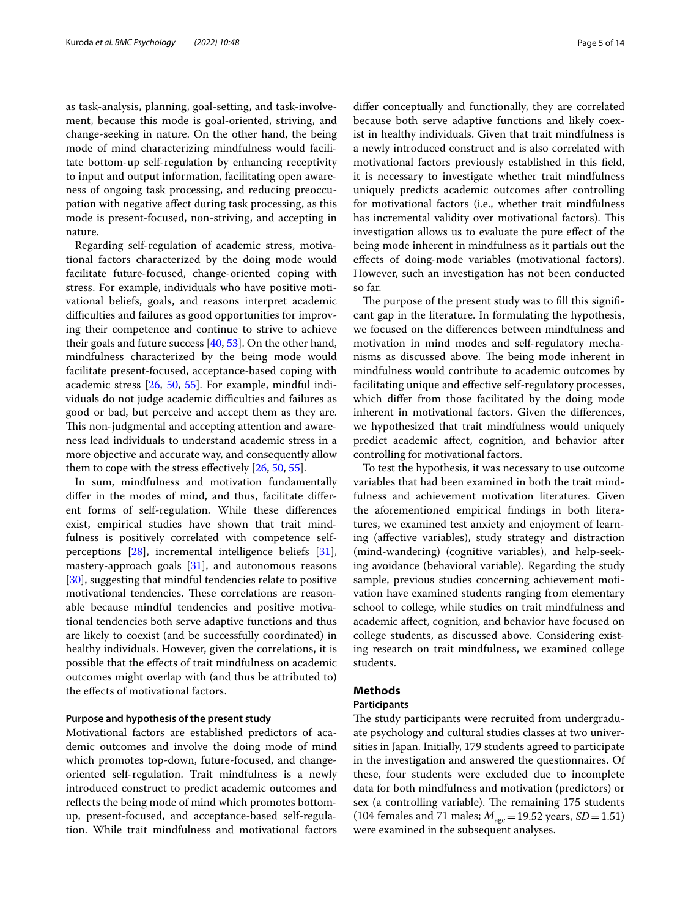as task-analysis, planning, goal-setting, and task-involvement, because this mode is goal-oriented, striving, and change-seeking in nature. On the other hand, the being mode of mind characterizing mindfulness would facilitate bottom-up self-regulation by enhancing receptivity to input and output information, facilitating open awareness of ongoing task processing, and reducing preoccupation with negative afect during task processing, as this mode is present-focused, non-striving, and accepting in nature.

Regarding self-regulation of academic stress, motivational factors characterized by the doing mode would facilitate future-focused, change-oriented coping with stress. For example, individuals who have positive motivational beliefs, goals, and reasons interpret academic difficulties and failures as good opportunities for improving their competence and continue to strive to achieve their goals and future success [\[40](#page-12-8), [53](#page-12-36)]. On the other hand, mindfulness characterized by the being mode would facilitate present-focused, acceptance-based coping with academic stress [\[26,](#page-12-38) [50,](#page-12-27) [55](#page-12-39)]. For example, mindful individuals do not judge academic difficulties and failures as good or bad, but perceive and accept them as they are. This non-judgmental and accepting attention and awareness lead individuals to understand academic stress in a more objective and accurate way, and consequently allow them to cope with the stress efectively [\[26](#page-12-38), [50](#page-12-27), [55\]](#page-12-39).

In sum, mindfulness and motivation fundamentally difer in the modes of mind, and thus, facilitate diferent forms of self-regulation. While these diferences exist, empirical studies have shown that trait mindfulness is positively correlated with competence selfperceptions  $[28]$  $[28]$ , incremental intelligence beliefs  $[31]$  $[31]$ , mastery-approach goals [\[31](#page-12-26)], and autonomous reasons [[30\]](#page-12-28), suggesting that mindful tendencies relate to positive motivational tendencies. These correlations are reasonable because mindful tendencies and positive motivational tendencies both serve adaptive functions and thus are likely to coexist (and be successfully coordinated) in healthy individuals. However, given the correlations, it is possible that the efects of trait mindfulness on academic outcomes might overlap with (and thus be attributed to) the efects of motivational factors.

## **Purpose and hypothesis of the present study**

Motivational factors are established predictors of academic outcomes and involve the doing mode of mind which promotes top-down, future-focused, and changeoriented self-regulation. Trait mindfulness is a newly introduced construct to predict academic outcomes and reflects the being mode of mind which promotes bottomup, present-focused, and acceptance-based self-regulation. While trait mindfulness and motivational factors difer conceptually and functionally, they are correlated because both serve adaptive functions and likely coexist in healthy individuals. Given that trait mindfulness is a newly introduced construct and is also correlated with motivational factors previously established in this feld, it is necessary to investigate whether trait mindfulness uniquely predicts academic outcomes after controlling for motivational factors (i.e., whether trait mindfulness has incremental validity over motivational factors). This investigation allows us to evaluate the pure efect of the being mode inherent in mindfulness as it partials out the efects of doing-mode variables (motivational factors). However, such an investigation has not been conducted so far.

The purpose of the present study was to fill this significant gap in the literature. In formulating the hypothesis, we focused on the diferences between mindfulness and motivation in mind modes and self-regulatory mechanisms as discussed above. The being mode inherent in mindfulness would contribute to academic outcomes by facilitating unique and efective self-regulatory processes, which difer from those facilitated by the doing mode inherent in motivational factors. Given the diferences, we hypothesized that trait mindfulness would uniquely predict academic afect, cognition, and behavior after controlling for motivational factors.

To test the hypothesis, it was necessary to use outcome variables that had been examined in both the trait mindfulness and achievement motivation literatures. Given the aforementioned empirical fndings in both literatures, we examined test anxiety and enjoyment of learning (afective variables), study strategy and distraction (mind-wandering) (cognitive variables), and help-seeking avoidance (behavioral variable). Regarding the study sample, previous studies concerning achievement motivation have examined students ranging from elementary school to college, while studies on trait mindfulness and academic afect, cognition, and behavior have focused on college students, as discussed above. Considering existing research on trait mindfulness, we examined college students.

# **Methods**

# **Participants**

The study participants were recruited from undergraduate psychology and cultural studies classes at two universities in Japan. Initially, 179 students agreed to participate in the investigation and answered the questionnaires. Of these, four students were excluded due to incomplete data for both mindfulness and motivation (predictors) or sex (a controlling variable). The remaining 175 students (104 females and 71 males;  $M_{\text{age}}$  = 19.52 years, *SD* = 1.51) were examined in the subsequent analyses.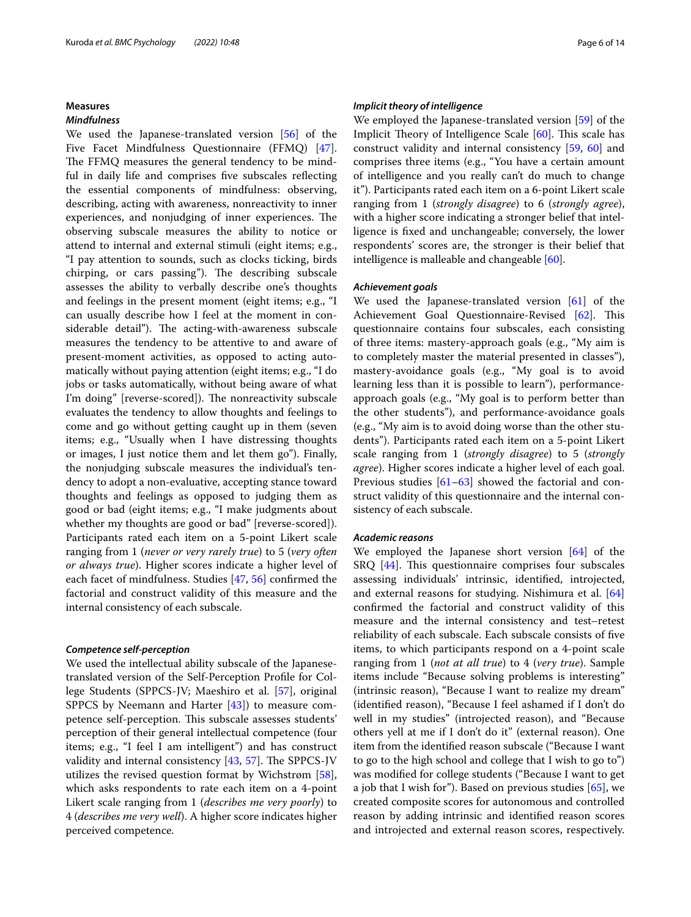#### **Measures**

## *Mindfulness*

We used the Japanese-translated version [[56\]](#page-12-40) of the Five Facet Mindfulness Questionnaire (FFMQ) [\[47](#page-12-20)]. The FFMQ measures the general tendency to be mindful in daily life and comprises fve subscales refecting the essential components of mindfulness: observing, describing, acting with awareness, nonreactivity to inner experiences, and nonjudging of inner experiences. The observing subscale measures the ability to notice or attend to internal and external stimuli (eight items; e.g., "I pay attention to sounds, such as clocks ticking, birds chirping, or cars passing"). The describing subscale assesses the ability to verbally describe one's thoughts and feelings in the present moment (eight items; e.g., "I can usually describe how I feel at the moment in considerable detail"). The acting-with-awareness subscale measures the tendency to be attentive to and aware of present-moment activities, as opposed to acting automatically without paying attention (eight items; e.g., "I do jobs or tasks automatically, without being aware of what I'm doing" [reverse-scored]). The nonreactivity subscale evaluates the tendency to allow thoughts and feelings to come and go without getting caught up in them (seven items; e.g., "Usually when I have distressing thoughts or images, I just notice them and let them go"). Finally, the nonjudging subscale measures the individual's tendency to adopt a non-evaluative, accepting stance toward thoughts and feelings as opposed to judging them as good or bad (eight items; e.g., "I make judgments about whether my thoughts are good or bad" [reverse-scored]). Participants rated each item on a 5-point Likert scale ranging from 1 (*never or very rarely true*) to 5 (*very often or always true*). Higher scores indicate a higher level of each facet of mindfulness. Studies [\[47,](#page-12-20) [56\]](#page-12-40) confrmed the factorial and construct validity of this measure and the internal consistency of each subscale.

#### *Competence self‑perception*

We used the intellectual ability subscale of the Japanesetranslated version of the Self-Perception Profle for College Students (SPPCS-JV; Maeshiro et al. [[57\]](#page-12-41), original SPPCS by Neemann and Harter  $[43]$  $[43]$ ) to measure competence self-perception. This subscale assesses students' perception of their general intellectual competence (four items; e.g., "I feel I am intelligent") and has construct validity and internal consistency  $[43, 57]$  $[43, 57]$  $[43, 57]$  $[43, 57]$  $[43, 57]$ . The SPPCS-JV utilizes the revised question format by Wichstrøm [\[58](#page-12-42)], which asks respondents to rate each item on a 4-point Likert scale ranging from 1 (*describes me very poorly*) to 4 (*describes me very well*). A higher score indicates higher perceived competence.

#### *Implicit theory of intelligence*

We employed the Japanese-translated version [[59\]](#page-12-43) of the Implicit Theory of Intelligence Scale [\[60](#page-12-44)]. This scale has construct validity and internal consistency [[59](#page-12-43), [60](#page-12-44)] and comprises three items (e.g., "You have a certain amount of intelligence and you really can't do much to change it"). Participants rated each item on a 6-point Likert scale ranging from 1 (*strongly disagree*) to 6 (*strongly agree*), with a higher score indicating a stronger belief that intelligence is fxed and unchangeable; conversely, the lower respondents' scores are, the stronger is their belief that intelligence is malleable and changeable [\[60](#page-12-44)].

## *Achievement goals*

We used the Japanese-translated version [[61\]](#page-12-45) of the Achievement Goal Questionnaire-Revised [\[62](#page-12-46)]. This questionnaire contains four subscales, each consisting of three items: mastery-approach goals (e.g., "My aim is to completely master the material presented in classes"), mastery-avoidance goals (e.g., "My goal is to avoid learning less than it is possible to learn"), performanceapproach goals (e.g., "My goal is to perform better than the other students"), and performance-avoidance goals (e.g., "My aim is to avoid doing worse than the other students"). Participants rated each item on a 5-point Likert scale ranging from 1 (*strongly disagree*) to 5 (*strongly agree*). Higher scores indicate a higher level of each goal. Previous studies [\[61](#page-12-45)[–63](#page-12-47)] showed the factorial and construct validity of this questionnaire and the internal consistency of each subscale.

## *Academic reasons*

We employed the Japanese short version [[64](#page-12-48)] of the  $S R Q$  [\[44\]](#page-12-14). This questionnaire comprises four subscales assessing individuals' intrinsic, identifed, introjected, and external reasons for studying. Nishimura et al. [[64](#page-12-48)] confrmed the factorial and construct validity of this measure and the internal consistency and test–retest reliability of each subscale. Each subscale consists of fve items, to which participants respond on a 4-point scale ranging from 1 (*not at all true*) to 4 (*very true*). Sample items include "Because solving problems is interesting" (intrinsic reason), "Because I want to realize my dream" (identifed reason), "Because I feel ashamed if I don't do well in my studies" (introjected reason), and "Because others yell at me if I don't do it" (external reason). One item from the identifed reason subscale ("Because I want to go to the high school and college that I wish to go to") was modifed for college students ("Because I want to get a job that I wish for"). Based on previous studies  $[65]$  $[65]$ , we created composite scores for autonomous and controlled reason by adding intrinsic and identifed reason scores and introjected and external reason scores, respectively.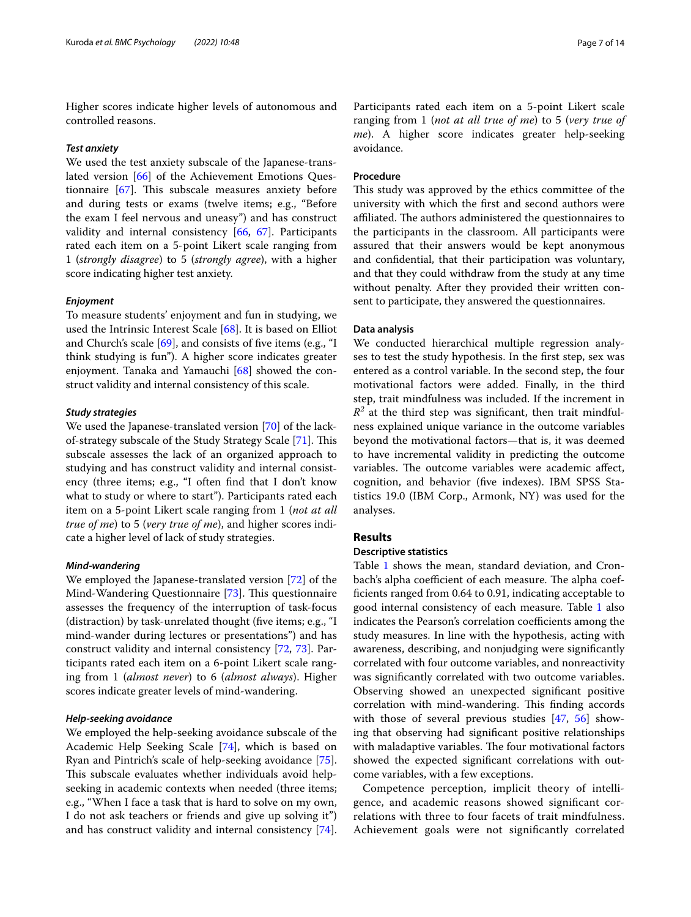Higher scores indicate higher levels of autonomous and controlled reasons.

## *Test anxiety*

We used the test anxiety subscale of the Japanese-translated version [[66\]](#page-13-1) of the Achievement Emotions Questionnaire  $[67]$  $[67]$ . This subscale measures anxiety before and during tests or exams (twelve items; e.g., "Before the exam I feel nervous and uneasy") and has construct validity and internal consistency [\[66](#page-13-1), [67](#page-13-2)]. Participants rated each item on a 5-point Likert scale ranging from 1 (*strongly disagree*) to 5 (*strongly agree*), with a higher score indicating higher test anxiety.

## *Enjoyment*

To measure students' enjoyment and fun in studying, we used the Intrinsic Interest Scale [\[68\]](#page-13-3). It is based on Elliot and Church's scale  $[69]$  $[69]$ , and consists of five items (e.g., "I think studying is fun"). A higher score indicates greater enjoyment. Tanaka and Yamauchi [\[68](#page-13-3)] showed the construct validity and internal consistency of this scale.

## *Study strategies*

We used the Japanese-translated version [[70\]](#page-13-5) of the lack-of-strategy subscale of the Study Strategy Scale [\[71](#page-13-6)]. This subscale assesses the lack of an organized approach to studying and has construct validity and internal consistency (three items; e.g., "I often fnd that I don't know what to study or where to start"). Participants rated each item on a 5-point Likert scale ranging from 1 (*not at all true of me*) to 5 (*very true of me*), and higher scores indicate a higher level of lack of study strategies.

## *Mind‑wandering*

We employed the Japanese-translated version [[72](#page-13-7)] of the Mind-Wandering Questionnaire [[73\]](#page-13-8). This questionnaire assesses the frequency of the interruption of task-focus (distraction) by task-unrelated thought (fve items; e.g., "I mind-wander during lectures or presentations") and has construct validity and internal consistency [[72,](#page-13-7) [73\]](#page-13-8). Participants rated each item on a 6-point Likert scale ranging from 1 (*almost never*) to 6 (*almost always*). Higher scores indicate greater levels of mind-wandering.

## *Help‑seeking avoidance*

We employed the help-seeking avoidance subscale of the Academic Help Seeking Scale [[74\]](#page-13-9), which is based on Ryan and Pintrich's scale of help-seeking avoidance [\[75](#page-13-10)]. This subscale evaluates whether individuals avoid helpseeking in academic contexts when needed (three items; e.g., "When I face a task that is hard to solve on my own, I do not ask teachers or friends and give up solving it") and has construct validity and internal consistency [\[74](#page-13-9)]. Participants rated each item on a 5-point Likert scale ranging from 1 (*not at all true of me*) to 5 (*very true of me*). A higher score indicates greater help-seeking avoidance.

## **Procedure**

This study was approved by the ethics committee of the university with which the frst and second authors were affiliated. The authors administered the questionnaires to the participants in the classroom. All participants were assured that their answers would be kept anonymous and confdential, that their participation was voluntary, and that they could withdraw from the study at any time without penalty. After they provided their written consent to participate, they answered the questionnaires.

## **Data analysis**

We conducted hierarchical multiple regression analyses to test the study hypothesis. In the frst step, sex was entered as a control variable. In the second step, the four motivational factors were added. Finally, in the third step, trait mindfulness was included. If the increment in  $R<sup>2</sup>$  at the third step was significant, then trait mindfulness explained unique variance in the outcome variables beyond the motivational factors—that is, it was deemed to have incremental validity in predicting the outcome variables. The outcome variables were academic affect, cognition, and behavior (fve indexes). IBM SPSS Statistics 19.0 (IBM Corp., Armonk, NY) was used for the analyses.

## **Results**

# **Descriptive statistics**

Table [1](#page-7-0) shows the mean, standard deviation, and Cronbach's alpha coefficient of each measure. The alpha coeffcients ranged from 0.64 to 0.91, indicating acceptable to good internal consistency of each measure. Table [1](#page-7-0) also indicates the Pearson's correlation coefficients among the study measures. In line with the hypothesis, acting with awareness, describing, and nonjudging were signifcantly correlated with four outcome variables, and nonreactivity was signifcantly correlated with two outcome variables. Observing showed an unexpected signifcant positive correlation with mind-wandering. This finding accords with those of several previous studies [[47](#page-12-20), [56](#page-12-40)] showing that observing had signifcant positive relationships with maladaptive variables. The four motivational factors showed the expected signifcant correlations with outcome variables, with a few exceptions.

Competence perception, implicit theory of intelligence, and academic reasons showed signifcant correlations with three to four facets of trait mindfulness. Achievement goals were not signifcantly correlated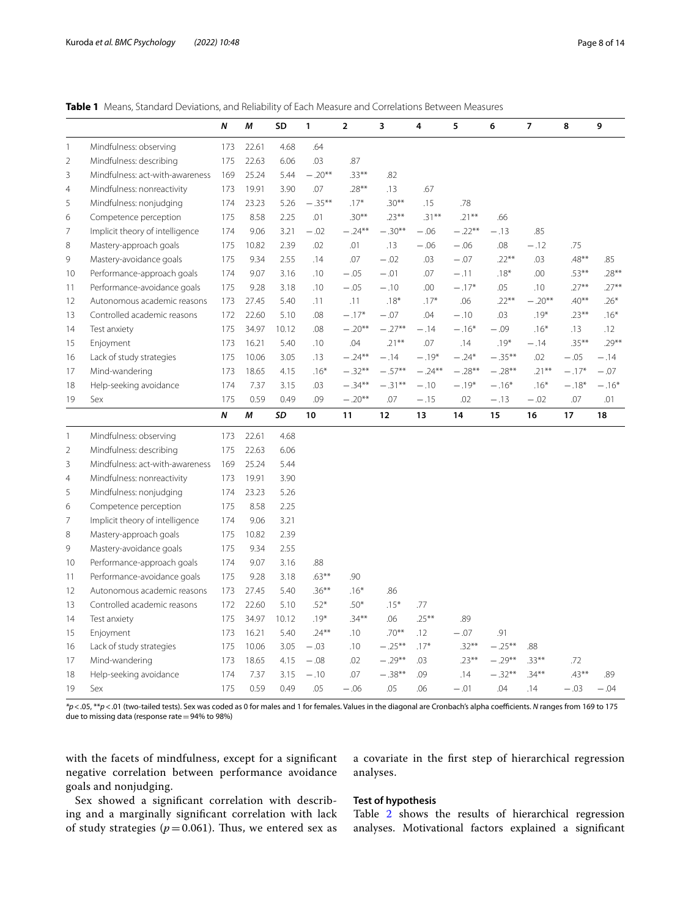<span id="page-7-0"></span>

|                |                                 | $\boldsymbol{N}$ | M     | SD           | 1             | $\overline{2}$ | 3                | 4         | 5             | 6               | $\overline{7}$ | 8        | 9        |
|----------------|---------------------------------|------------------|-------|--------------|---------------|----------------|------------------|-----------|---------------|-----------------|----------------|----------|----------|
| $\mathbf{1}$   | Mindfulness: observing          | 173              | 22.61 | 4.68         | .64           |                |                  |           |               |                 |                |          |          |
| $\overline{2}$ | Mindfulness: describing         | 175              | 22.63 | 6.06         | .03           | .87            |                  |           |               |                 |                |          |          |
| 3              | Mindfulness: act-with-awareness | 169              | 25.24 | 5.44         | $-.20**$      | $.33***$       | .82              |           |               |                 |                |          |          |
| $\overline{4}$ | Mindfulness: nonreactivity      | 173              | 19.91 | 3.90         | .07           | $.28***$       | .13              | .67       |               |                 |                |          |          |
| 5              | Mindfulness: nonjudging         | 174              | 23.23 | 5.26         | $-.35***$     | $.17*$         | $.30***$         | .15       | .78           |                 |                |          |          |
| 6              | Competence perception           | 175              | 8.58  | 2.25         | .01           | $.30***$       | $.23***$         | $.31***$  | $.21***$      | .66             |                |          |          |
| $\overline{7}$ | Implicit theory of intelligence | 174              | 9.06  | 3.21         | $-.02$        | $-.24**$       | $-.30**$         | $-.06$    | $-.22**$      | $-.13$          | .85            |          |          |
| 8              | Mastery-approach goals          | 175              | 10.82 | 2.39         | .02           | .01            | .13              | $-.06$    | $-.06$        | .08             | $-.12$         | .75      |          |
| 9              | Mastery-avoidance goals         | 175              | 9.34  | 2.55         | .14           | .07            | $-.02$           | .03       | $-.07$        | $.22***$        | .03            | $.48***$ | .85      |
| 10             | Performance-approach goals      | 174              | 9.07  | 3.16         | .10           | $-.05$         | $-.01$           | .07       | $-.11$        | $.18*$          | .00            | $.53***$ | $.28***$ |
| 11             | Performance-avoidance goals     | 175              | 9.28  | 3.18         | .10           | $-.05$         | $-.10$           | .00       | $-.17*$       | .05             | .10            | $.27***$ | $.27***$ |
| 12             | Autonomous academic reasons     | 173              | 27.45 | 5.40         | .11           | .11            | $.18*$           | $.17*$    | .06           | $.22***$        | $-.20**$       | $.40**$  | $.26*$   |
| 13             | Controlled academic reasons     | 172              | 22.60 | 5.10         | .08           | $-.17*$        | $-.07$           | .04       | $-.10$        | .03             | $.19*$         | $.23***$ | $.16*$   |
| 14             | Test anxiety                    | 175              | 34.97 | 10.12        | .08           | $-.20**$       | $-.27**$         | $-.14$    | $-.16*$       | $-.09$          | $.16*$         | .13      | .12      |
| 15             | Enjoyment                       | 173              | 16.21 | 5.40         | .10           | .04            | $.21***$         | .07       | .14           | $.19*$          | $-.14$         | $.35***$ | $.29***$ |
| 16             | Lack of study strategies        | 175              | 10.06 | 3.05         | .13           | $-.24**$       | $-.14$           | $-.19*$   | $-.24*$       | $-.35***$       | .02            | $-.05$   | $-.14$   |
| 17             | Mind-wandering                  | 173              | 18.65 | 4.15         | $.16*$        | $-.32**$       | $-.57**$         | $-.24***$ | $-.28**$      | $-.28**$        | $.21***$       | $-.17*$  | $-.07$   |
| 18             | Help-seeking avoidance          | 174              | 7.37  | 3.15         | .03           | $-.34***$      | $-.31***$        | $-.10$    | $-.19*$       | $-.16*$         | $.16*$         | $-.18*$  | $-.16*$  |
| 19             | Sex                             | 175              | 0.59  | 0.49         | .09           | $-.20**$       | .07              | $-.15$    | .02           | $-.13$          | $-.02$         | .07      | .01      |
|                |                                 |                  |       |              |               |                |                  |           |               |                 |                |          |          |
|                |                                 | $\boldsymbol{N}$ | М     | SD           | 10            | 11             | 12               | 13        | 14            | 15              | 16             | 17       | 18       |
| $\mathbf{1}$   | Mindfulness: observing          | 173              | 22.61 | 4.68         |               |                |                  |           |               |                 |                |          |          |
| $\overline{2}$ | Mindfulness: describing         | 175              | 22.63 | 6.06         |               |                |                  |           |               |                 |                |          |          |
| 3              | Mindfulness: act-with-awareness | 169              | 25.24 | 5.44         |               |                |                  |           |               |                 |                |          |          |
| $\overline{4}$ | Mindfulness: nonreactivity      | 173              | 19.91 | 3.90         |               |                |                  |           |               |                 |                |          |          |
| 5              | Mindfulness: nonjudging         | 174              | 23.23 | 5.26         |               |                |                  |           |               |                 |                |          |          |
| 6              | Competence perception           | 175              | 8.58  | 2.25         |               |                |                  |           |               |                 |                |          |          |
| 7              | Implicit theory of intelligence | 174              | 9.06  | 3.21         |               |                |                  |           |               |                 |                |          |          |
| 8              | Mastery-approach goals          | 175              | 10.82 | 2.39         |               |                |                  |           |               |                 |                |          |          |
| 9              | Mastery-avoidance goals         | 175              | 9.34  | 2.55         |               |                |                  |           |               |                 |                |          |          |
| 10             | Performance-approach goals      | 174              | 9.07  | 3.16         | .88           |                |                  |           |               |                 |                |          |          |
| 11             | Performance-avoidance goals     | 175              | 9.28  | 3.18         | $.63***$      | .90            |                  |           |               |                 |                |          |          |
| 12             | Autonomous academic reasons     | 173              | 27.45 | 5.40         | $.36***$      | $.16*$         | .86              |           |               |                 |                |          |          |
| 13             | Controlled academic reasons     | 172              | 22.60 | 5.10         | $.52*$        | $.50*$         | $.15*$           | .77       |               |                 |                |          |          |
| 14             | Test anxiety                    | 175              | 34.97 | 10.12        | $.19*$        | $.34***$       | .06              | $.25***$  | .89           |                 |                |          |          |
| 15             | Enjoyment                       | 173              | 16.21 | 5.40         | $.24***$      | .10            | $.70***$         | .12       | $-.07$        | .91             |                |          |          |
| 16             | Lack of study strategies        | 175              | 10.06 | 3.05         | $-.03$        | .10            | $-.25***$        | $.17*$    | $.32***$      | $-.25***$       | .88            |          |          |
| 17             | Mind-wandering                  | 173              | 18.65 | 4.15         | $-.08$        | .02            | $-.29**$         | .03       | $.23***$      | $-.29**$        | $.33***$       | .72      |          |
| 18             | Help-seeking avoidance          | 174<br>175       | 7.37  | 3.15<br>0.49 | $-.10$<br>.05 | .07            | $-.38***$<br>.05 | .09       | .14<br>$-.01$ | $-.32**$<br>.04 | $.34***$       | $.43***$ | .89      |

*\*p*<.05, \*\**p*<.01 (two-tailed tests). Sex was coded as 0 for males and 1 for females. Values in the diagonal are Cronbach's alpha coefcients. *N* ranges from 169 to 175 due to missing data (response rate=94% to 98%)

with the facets of mindfulness, except for a signifcant negative correlation between performance avoidance goals and nonjudging.

a covariate in the frst step of hierarchical regression analyses.

Sex showed a signifcant correlation with describing and a marginally signifcant correlation with lack of study strategies ( $p = 0.061$ ). Thus, we entered sex as

## **Test of hypothesis**

Table [2](#page-8-0) shows the results of hierarchical regression analyses. Motivational factors explained a signifcant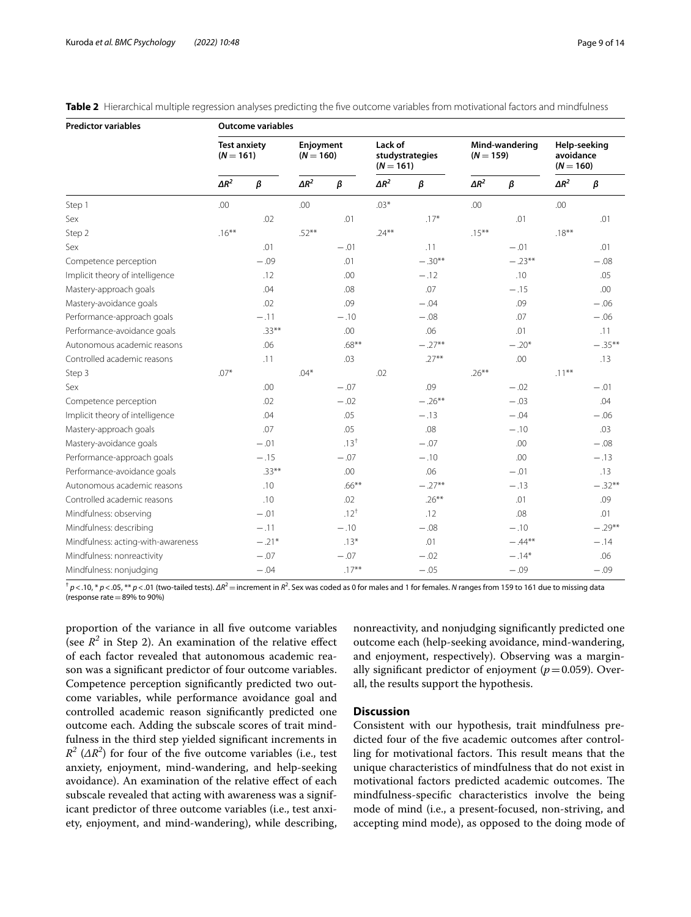| <b>Predictor variables</b>         | <b>Outcome variables</b>           |          |                          |           |                                           |               |                               |          |                                          |           |
|------------------------------------|------------------------------------|----------|--------------------------|-----------|-------------------------------------------|---------------|-------------------------------|----------|------------------------------------------|-----------|
|                                    | <b>Test anxiety</b><br>$(N = 161)$ |          | Enjoyment<br>$(N = 160)$ |           | Lack of<br>studystrategies<br>$(N = 161)$ |               | Mind-wandering<br>$(N = 159)$ |          | Help-seeking<br>avoidance<br>$(N = 160)$ |           |
|                                    | $\Delta R^2$                       | $\beta$  | $\Delta R^2$             | $\beta$   | $\Delta R^2$                              | $\pmb{\beta}$ | $\Delta R^2$                  | $\beta$  | $\Delta R^2$                             | β         |
| Step 1                             | .00                                |          | .00                      |           | $.03*$                                    |               | .00                           |          | .00                                      |           |
| Sex                                |                                    | .02      |                          | .01       |                                           | $.17*$        |                               | .01      |                                          | .01       |
| Step 2                             | $.16***$                           |          | $.52***$                 |           | $.24***$                                  |               | $.15***$                      |          | $.18***$                                 |           |
| Sex                                |                                    | .01      |                          | $-.01$    |                                           | .11           |                               | $-.01$   |                                          | .01       |
| Competence perception              |                                    | $-.09$   |                          | .01       |                                           | $-.30**$      |                               | $-.23**$ |                                          | $-.08$    |
| Implicit theory of intelligence    |                                    | .12      |                          | .00       |                                           | $-.12$        |                               | .10      |                                          | .05       |
| Mastery-approach goals             |                                    | .04      |                          | .08       |                                           | .07           |                               | $-.15$   |                                          | .00       |
| Mastery-avoidance goals            |                                    | .02      |                          | .09       |                                           | $-.04$        |                               | .09      |                                          | $-.06$    |
| Performance-approach goals         |                                    | $-.11$   |                          | $-.10$    |                                           | $-.08$        |                               | .07      |                                          | $-.06$    |
| Performance-avoidance goals        |                                    | $.33***$ |                          | .00       |                                           | .06           |                               | .01      |                                          | .11       |
| Autonomous academic reasons        |                                    | .06      |                          | $.68***$  |                                           | $-.27**$      |                               | $-.20*$  |                                          | $-.35***$ |
| Controlled academic reasons        |                                    | .11      |                          | .03       |                                           | $.27***$      |                               | $.00\,$  |                                          | .13       |
| Step 3                             | $.07*$                             |          | $.04*$                   |           | .02                                       |               | $.26***$                      |          | $.11***$                                 |           |
| Sex                                |                                    | .00      |                          | $-.07$    |                                           | .09           |                               | $-.02$   |                                          | $-.01$    |
| Competence perception              |                                    | .02      |                          | $-.02$    |                                           | $-.26***$     |                               | $-.03$   |                                          | .04       |
| Implicit theory of intelligence    |                                    | .04      |                          | .05       |                                           | $-.13$        |                               | $-.04$   |                                          | $-.06$    |
| Mastery-approach goals             |                                    | .07      |                          | .05       |                                           | .08           |                               | $-.10$   |                                          | .03       |
| Mastery-avoidance goals            |                                    | $-.01$   |                          | $.13^{+}$ |                                           | $-.07$        |                               | .00      |                                          | $-.08$    |
| Performance-approach goals         |                                    | $-.15$   |                          | $-.07$    |                                           | $-.10$        |                               | .00      |                                          | $-.13$    |
| Performance-avoidance goals        |                                    | $.33***$ |                          | .00       |                                           | .06           |                               | $-.01$   |                                          | .13       |
| Autonomous academic reasons        |                                    | .10      |                          | $.66***$  |                                           | $-.27**$      |                               | $-.13$   |                                          | $-.32**$  |
| Controlled academic reasons        |                                    | .10      |                          | .02       |                                           | $.26***$      |                               | .01      |                                          | .09       |
| Mindfulness: observing             |                                    | $-.01$   |                          | $.12^{+}$ |                                           | .12           |                               | .08      |                                          | .01       |
| Mindfulness: describing            |                                    | $-.11$   |                          | $-.10$    |                                           | $-.08$        |                               | $-.10$   |                                          | $-.29**$  |
| Mindfulness: acting-with-awareness |                                    | $-.21*$  |                          | $.13*$    |                                           | .01           |                               | $-.44**$ |                                          | $-.14$    |
| Mindfulness: nonreactivity         |                                    | $-.07$   |                          | $-.07$    |                                           | $-.02$        |                               | $-.14*$  |                                          | .06       |
| Mindfulness: nonjudging            |                                    | $-.04$   |                          | $.17***$  |                                           | $-.05$        |                               | $-.09$   |                                          | $-.09$    |

<span id="page-8-0"></span>

|  |  |  |  |  |  |  | Table 2 Hierarchical multiple regression analyses predicting the five outcome variables from motivational factors and mindfulness |
|--|--|--|--|--|--|--|-----------------------------------------------------------------------------------------------------------------------------------|
|--|--|--|--|--|--|--|-----------------------------------------------------------------------------------------------------------------------------------|

<sup>†</sup> *p*<.10, \* *p*<.05, \*\* *p*<.01 (two-tailed tests). ΔR<sup>2</sup> = increment in R<sup>2</sup>. Sex was coded as 0 for males and 1 for females. *N* ranges from 159 to 161 due to missing data (response rate=89% to 90%)

proportion of the variance in all fve outcome variables (see  $R^2$  in Step 2). An examination of the relative effect of each factor revealed that autonomous academic reason was a signifcant predictor of four outcome variables. Competence perception signifcantly predicted two outcome variables, while performance avoidance goal and controlled academic reason signifcantly predicted one outcome each. Adding the subscale scores of trait mindfulness in the third step yielded signifcant increments in  $R^2$  ( $\Delta R^2$ ) for four of the five outcome variables (i.e., test anxiety, enjoyment, mind-wandering, and help-seeking avoidance). An examination of the relative efect of each subscale revealed that acting with awareness was a significant predictor of three outcome variables (i.e., test anxiety, enjoyment, and mind-wandering), while describing,

nonreactivity, and nonjudging signifcantly predicted one outcome each (help-seeking avoidance, mind-wandering, and enjoyment, respectively). Observing was a marginally significant predictor of enjoyment  $(p=0.059)$ . Overall, the results support the hypothesis.

## **Discussion**

Consistent with our hypothesis, trait mindfulness predicted four of the fve academic outcomes after controlling for motivational factors. This result means that the unique characteristics of mindfulness that do not exist in motivational factors predicted academic outcomes. The mindfulness-specifc characteristics involve the being mode of mind (i.e., a present-focused, non-striving, and accepting mind mode), as opposed to the doing mode of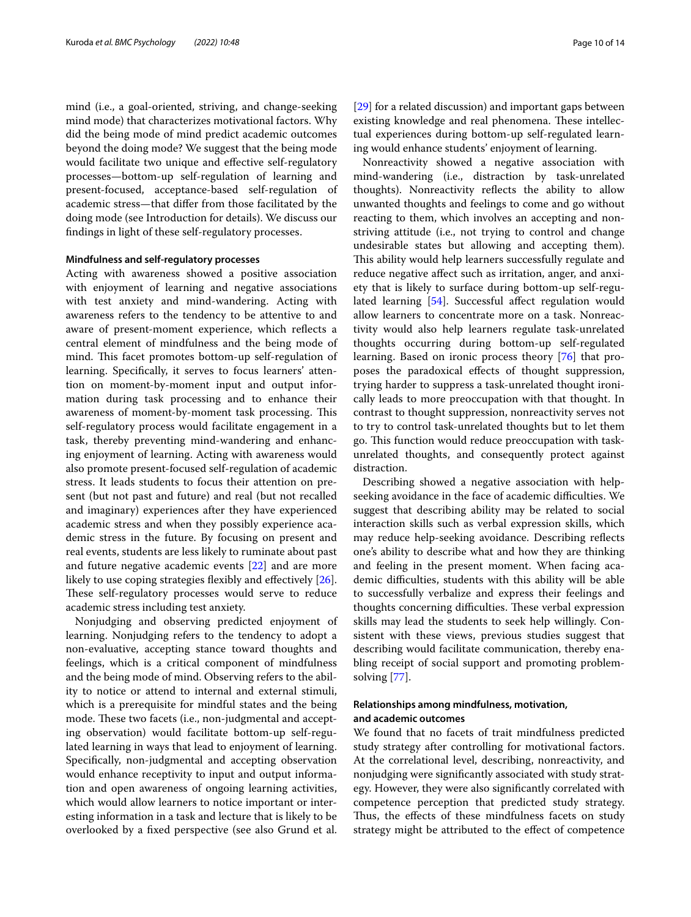mind (i.e., a goal-oriented, striving, and change-seeking mind mode) that characterizes motivational factors. Why did the being mode of mind predict academic outcomes beyond the doing mode? We suggest that the being mode would facilitate two unique and efective self-regulatory processes—bottom-up self-regulation of learning and present-focused, acceptance-based self-regulation of academic stress—that difer from those facilitated by the doing mode (see Introduction for details). We discuss our fndings in light of these self-regulatory processes.

#### **Mindfulness and self-regulatory processes**

Acting with awareness showed a positive association with enjoyment of learning and negative associations with test anxiety and mind-wandering. Acting with awareness refers to the tendency to be attentive to and aware of present-moment experience, which refects a central element of mindfulness and the being mode of mind. This facet promotes bottom-up self-regulation of learning. Specifcally, it serves to focus learners' attention on moment-by-moment input and output information during task processing and to enhance their awareness of moment-by-moment task processing. This self-regulatory process would facilitate engagement in a task, thereby preventing mind-wandering and enhancing enjoyment of learning. Acting with awareness would also promote present-focused self-regulation of academic stress. It leads students to focus their attention on present (but not past and future) and real (but not recalled and imaginary) experiences after they have experienced academic stress and when they possibly experience academic stress in the future. By focusing on present and real events, students are less likely to ruminate about past and future negative academic events [\[22\]](#page-12-2) and are more likely to use coping strategies flexibly and effectively [\[26](#page-12-38)]. These self-regulatory processes would serve to reduce academic stress including test anxiety.

Nonjudging and observing predicted enjoyment of learning. Nonjudging refers to the tendency to adopt a non-evaluative, accepting stance toward thoughts and feelings, which is a critical component of mindfulness and the being mode of mind. Observing refers to the ability to notice or attend to internal and external stimuli, which is a prerequisite for mindful states and the being mode. These two facets (i.e., non-judgmental and accepting observation) would facilitate bottom-up self-regulated learning in ways that lead to enjoyment of learning. Specifcally, non-judgmental and accepting observation would enhance receptivity to input and output information and open awareness of ongoing learning activities, which would allow learners to notice important or interesting information in a task and lecture that is likely to be overlooked by a fxed perspective (see also Grund et al. [[29\]](#page-12-49) for a related discussion) and important gaps between existing knowledge and real phenomena. These intellectual experiences during bottom-up self-regulated learning would enhance students' enjoyment of learning.

Nonreactivity showed a negative association with mind-wandering (i.e., distraction by task-unrelated thoughts). Nonreactivity refects the ability to allow unwanted thoughts and feelings to come and go without reacting to them, which involves an accepting and nonstriving attitude (i.e., not trying to control and change undesirable states but allowing and accepting them). This ability would help learners successfully regulate and reduce negative afect such as irritation, anger, and anxiety that is likely to surface during bottom-up self-regu-lated learning [[54](#page-12-37)]. Successful affect regulation would allow learners to concentrate more on a task. Nonreactivity would also help learners regulate task-unrelated thoughts occurring during bottom-up self-regulated learning. Based on ironic process theory [[76\]](#page-13-11) that proposes the paradoxical efects of thought suppression, trying harder to suppress a task-unrelated thought ironically leads to more preoccupation with that thought. In contrast to thought suppression, nonreactivity serves not to try to control task-unrelated thoughts but to let them go. This function would reduce preoccupation with taskunrelated thoughts, and consequently protect against distraction.

Describing showed a negative association with helpseeking avoidance in the face of academic difficulties. We suggest that describing ability may be related to social interaction skills such as verbal expression skills, which may reduce help-seeking avoidance. Describing refects one's ability to describe what and how they are thinking and feeling in the present moment. When facing academic difficulties, students with this ability will be able to successfully verbalize and express their feelings and thoughts concerning difficulties. These verbal expression skills may lead the students to seek help willingly. Consistent with these views, previous studies suggest that describing would facilitate communication, thereby enabling receipt of social support and promoting problemsolving [\[77](#page-13-12)].

## **Relationships among mindfulness, motivation, and academic outcomes**

We found that no facets of trait mindfulness predicted study strategy after controlling for motivational factors. At the correlational level, describing, nonreactivity, and nonjudging were signifcantly associated with study strategy. However, they were also signifcantly correlated with competence perception that predicted study strategy. Thus, the effects of these mindfulness facets on study strategy might be attributed to the efect of competence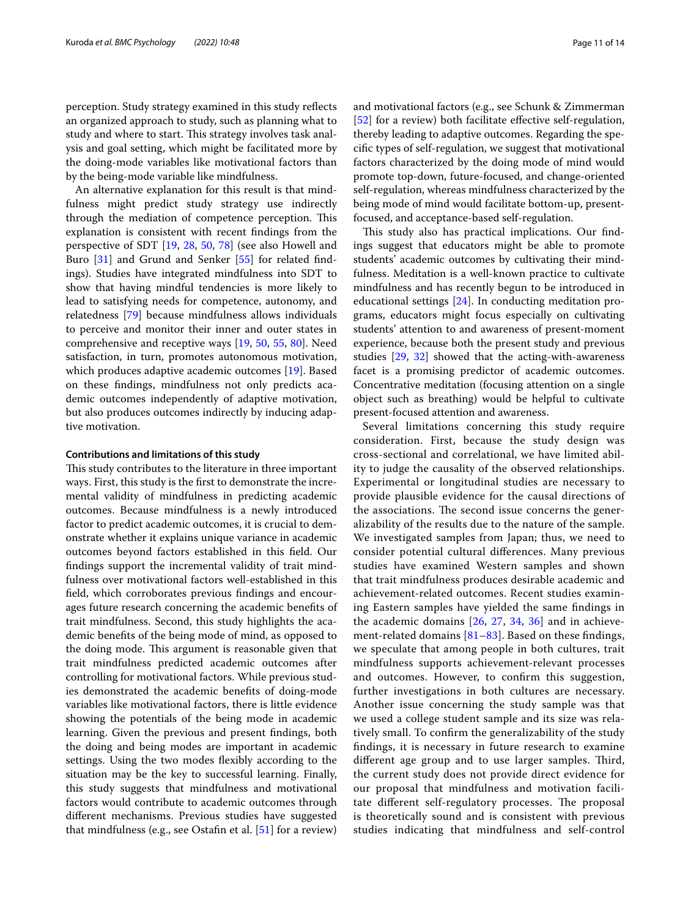perception. Study strategy examined in this study refects an organized approach to study, such as planning what to study and where to start. This strategy involves task analysis and goal setting, which might be facilitated more by the doing-mode variables like motivational factors than by the being-mode variable like mindfulness.

An alternative explanation for this result is that mindfulness might predict study strategy use indirectly through the mediation of competence perception. This explanation is consistent with recent fndings from the perspective of SDT [[19,](#page-12-11) [28,](#page-12-21) [50](#page-12-27), [78](#page-13-13)] (see also Howell and Buro [[31\]](#page-12-26) and Grund and Senker [[55\]](#page-12-39) for related fndings). Studies have integrated mindfulness into SDT to show that having mindful tendencies is more likely to lead to satisfying needs for competence, autonomy, and relatedness [\[79](#page-13-14)] because mindfulness allows individuals to perceive and monitor their inner and outer states in comprehensive and receptive ways [\[19](#page-12-11), [50](#page-12-27), [55](#page-12-39), [80](#page-13-15)]. Need satisfaction, in turn, promotes autonomous motivation, which produces adaptive academic outcomes [\[19](#page-12-11)]. Based on these fndings, mindfulness not only predicts academic outcomes independently of adaptive motivation, but also produces outcomes indirectly by inducing adaptive motivation.

#### **Contributions and limitations of this study**

This study contributes to the literature in three important ways. First, this study is the frst to demonstrate the incremental validity of mindfulness in predicting academic outcomes. Because mindfulness is a newly introduced factor to predict academic outcomes, it is crucial to demonstrate whether it explains unique variance in academic outcomes beyond factors established in this feld. Our fndings support the incremental validity of trait mindfulness over motivational factors well-established in this feld, which corroborates previous fndings and encourages future research concerning the academic benefts of trait mindfulness. Second, this study highlights the academic benefts of the being mode of mind, as opposed to the doing mode. This argument is reasonable given that trait mindfulness predicted academic outcomes after controlling for motivational factors. While previous studies demonstrated the academic benefts of doing-mode variables like motivational factors, there is little evidence showing the potentials of the being mode in academic learning. Given the previous and present fndings, both the doing and being modes are important in academic settings. Using the two modes fexibly according to the situation may be the key to successful learning. Finally, this study suggests that mindfulness and motivational factors would contribute to academic outcomes through diferent mechanisms. Previous studies have suggested that mindfulness (e.g., see Ostafn et al. [\[51](#page-12-34)] for a review)

and motivational factors (e.g., see Schunk & Zimmerman [[52\]](#page-12-35) for a review) both facilitate effective self-regulation, thereby leading to adaptive outcomes. Regarding the specifc types of self-regulation, we suggest that motivational factors characterized by the doing mode of mind would promote top-down, future-focused, and change-oriented self-regulation, whereas mindfulness characterized by the being mode of mind would facilitate bottom-up, presentfocused, and acceptance-based self-regulation.

This study also has practical implications. Our findings suggest that educators might be able to promote students' academic outcomes by cultivating their mindfulness. Meditation is a well-known practice to cultivate mindfulness and has recently begun to be introduced in educational settings [\[24](#page-12-4)]. In conducting meditation programs, educators might focus especially on cultivating students' attention to and awareness of present-moment experience, because both the present study and previous studies [[29](#page-12-49), [32\]](#page-12-22) showed that the acting-with-awareness facet is a promising predictor of academic outcomes. Concentrative meditation (focusing attention on a single object such as breathing) would be helpful to cultivate present-focused attention and awareness.

Several limitations concerning this study require consideration. First, because the study design was cross-sectional and correlational, we have limited ability to judge the causality of the observed relationships. Experimental or longitudinal studies are necessary to provide plausible evidence for the causal directions of the associations. The second issue concerns the generalizability of the results due to the nature of the sample. We investigated samples from Japan; thus, we need to consider potential cultural diferences. Many previous studies have examined Western samples and shown that trait mindfulness produces desirable academic and achievement-related outcomes. Recent studies examining Eastern samples have yielded the same fndings in the academic domains [[26,](#page-12-38) [27,](#page-12-25) [34,](#page-12-30) [36\]](#page-12-32) and in achievement-related domains  $[81-83]$  $[81-83]$  $[81-83]$ . Based on these findings, we speculate that among people in both cultures, trait mindfulness supports achievement-relevant processes and outcomes. However, to confrm this suggestion, further investigations in both cultures are necessary. Another issue concerning the study sample was that we used a college student sample and its size was relatively small. To confrm the generalizability of the study fndings, it is necessary in future research to examine different age group and to use larger samples. Third, the current study does not provide direct evidence for our proposal that mindfulness and motivation facilitate different self-regulatory processes. The proposal is theoretically sound and is consistent with previous studies indicating that mindfulness and self-control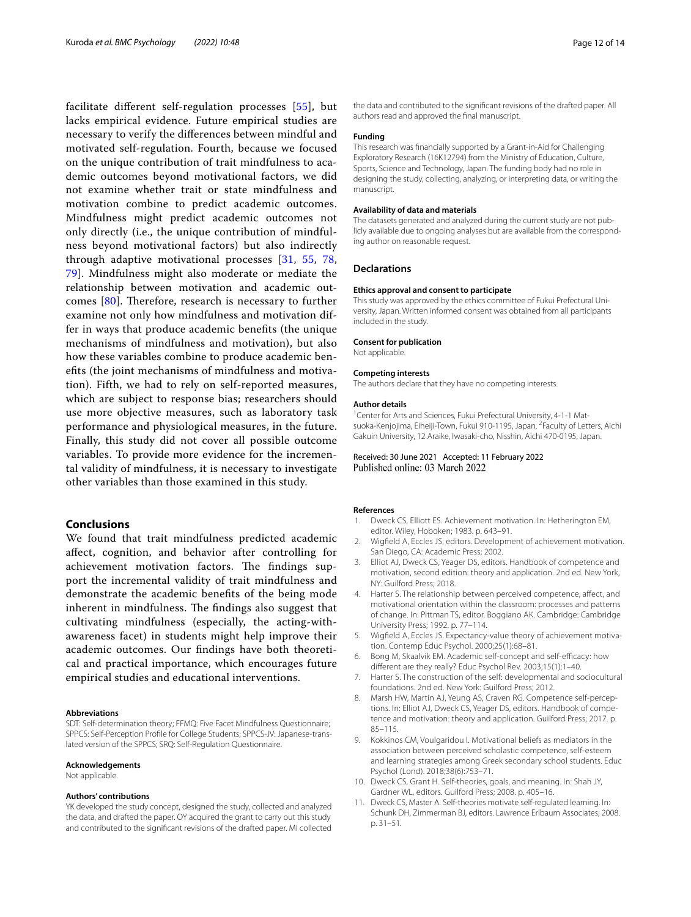facilitate diferent self-regulation processes [\[55](#page-12-39)], but lacks empirical evidence. Future empirical studies are necessary to verify the diferences between mindful and motivated self-regulation. Fourth, because we focused on the unique contribution of trait mindfulness to academic outcomes beyond motivational factors, we did not examine whether trait or state mindfulness and motivation combine to predict academic outcomes. Mindfulness might predict academic outcomes not only directly (i.e., the unique contribution of mindfulness beyond motivational factors) but also indirectly through adaptive motivational processes [\[31](#page-12-26), [55,](#page-12-39) [78](#page-13-13), [79\]](#page-13-14). Mindfulness might also moderate or mediate the relationship between motivation and academic outcomes  $[80]$  $[80]$  $[80]$ . Therefore, research is necessary to further examine not only how mindfulness and motivation differ in ways that produce academic benefts (the unique mechanisms of mindfulness and motivation), but also how these variables combine to produce academic benefts (the joint mechanisms of mindfulness and motivation). Fifth, we had to rely on self-reported measures, which are subject to response bias; researchers should use more objective measures, such as laboratory task performance and physiological measures, in the future. Finally, this study did not cover all possible outcome variables. To provide more evidence for the incremental validity of mindfulness, it is necessary to investigate other variables than those examined in this study.

# **Conclusions**

We found that trait mindfulness predicted academic afect, cognition, and behavior after controlling for achievement motivation factors. The findings support the incremental validity of trait mindfulness and demonstrate the academic benefts of the being mode inherent in mindfulness. The findings also suggest that cultivating mindfulness (especially, the acting-withawareness facet) in students might help improve their academic outcomes. Our fndings have both theoretical and practical importance, which encourages future empirical studies and educational interventions.

#### **Abbreviations**

SDT: Self-determination theory; FFMQ: Five Facet Mindfulness Questionnaire; SPPCS: Self-Perception Profle for College Students; SPPCS-JV: Japanese-translated version of the SPPCS; SRQ: Self-Regulation Questionnaire.

#### **Acknowledgements**

Not applicable.

#### **Authors' contributions**

YK developed the study concept, designed the study, collected and analyzed the data, and drafted the paper. OY acquired the grant to carry out this study and contributed to the signifcant revisions of the drafted paper. MI collected

the data and contributed to the signifcant revisions of the drafted paper. All authors read and approved the fnal manuscript.

#### **Funding**

This research was fnancially supported by a Grant-in-Aid for Challenging Exploratory Research (16K12794) from the Ministry of Education, Culture, Sports, Science and Technology, Japan. The funding body had no role in designing the study, collecting, analyzing, or interpreting data, or writing the manuscript.

#### **Availability of data and materials**

The datasets generated and analyzed during the current study are not publicly available due to ongoing analyses but are available from the corresponding author on reasonable request.

#### **Declarations**

#### **Ethics approval and consent to participate**

This study was approved by the ethics committee of Fukui Prefectural University, Japan. Written informed consent was obtained from all participants included in the study.

#### **Consent for publication**

Not applicable.

#### **Competing interests**

The authors declare that they have no competing interests.

#### **Author details**

<sup>1</sup> Center for Arts and Sciences, Fukui Prefectural University, 4-1-1 Matsuoka-Kenjojima, Eiheiji-Town, Fukui 910-1195, Japan. <sup>2</sup> Faculty of Letters, Aichi Gakuin University, 12 Araike, Iwasaki-cho, Nisshin, Aichi 470-0195, Japan.

# Received: 30 June 2021 Accepted: 11 February 2022

#### **References**

- <span id="page-11-0"></span>1. Dweck CS, Elliott ES. Achievement motivation. In: Hetherington EM, editor. Wiley, Hoboken; 1983. p. 643–91.
- <span id="page-11-3"></span>2. Wigfeld A, Eccles JS, editors. Development of achievement motivation. San Diego, CA: Academic Press; 2002.
- <span id="page-11-1"></span>3. Elliot AJ, Dweck CS, Yeager DS, editors. Handbook of competence and motivation, second edition: theory and application. 2nd ed. New York, NY: Guilford Press; 2018.
- <span id="page-11-2"></span>4. Harter S. The relationship between perceived competence, afect, and motivational orientation within the classroom: processes and patterns of change. In: Pittman TS, editor. Boggiano AK. Cambridge: Cambridge University Press; 1992. p. 77–114.
- <span id="page-11-5"></span>5. Wigfeld A, Eccles JS. Expectancy-value theory of achievement motivation. Contemp Educ Psychol. 2000;25(1):68–81.
- <span id="page-11-6"></span>Bong M, Skaalvik EM. Academic self-concept and self-efficacy: how diferent are they really? Educ Psychol Rev. 2003;15(1):1–40.
- <span id="page-11-7"></span>7. Harter S. The construction of the self: developmental and sociocultural foundations. 2nd ed. New York: Guilford Press; 2012.
- <span id="page-11-4"></span>8. Marsh HW, Martin AJ, Yeung AS, Craven RG. Competence self-perceptions. In: Elliot AJ, Dweck CS, Yeager DS, editors. Handbook of competence and motivation: theory and application. Guilford Press; 2017. p. 85–115.
- <span id="page-11-9"></span>9. Kokkinos CM, Voulgaridou I. Motivational beliefs as mediators in the association between perceived scholastic competence, self-esteem and learning strategies among Greek secondary school students. Educ Psychol (Lond). 2018;38(6):753–71.
- <span id="page-11-10"></span>10. Dweck CS, Grant H. Self-theories, goals, and meaning. In: Shah JY, Gardner WL, editors. Guilford Press; 2008. p. 405–16.
- <span id="page-11-8"></span>11. Dweck CS, Master A. Self-theories motivate self-regulated learning. In: Schunk DH, Zimmerman BJ, editors. Lawrence Erlbaum Associates; 2008. p. 31–51.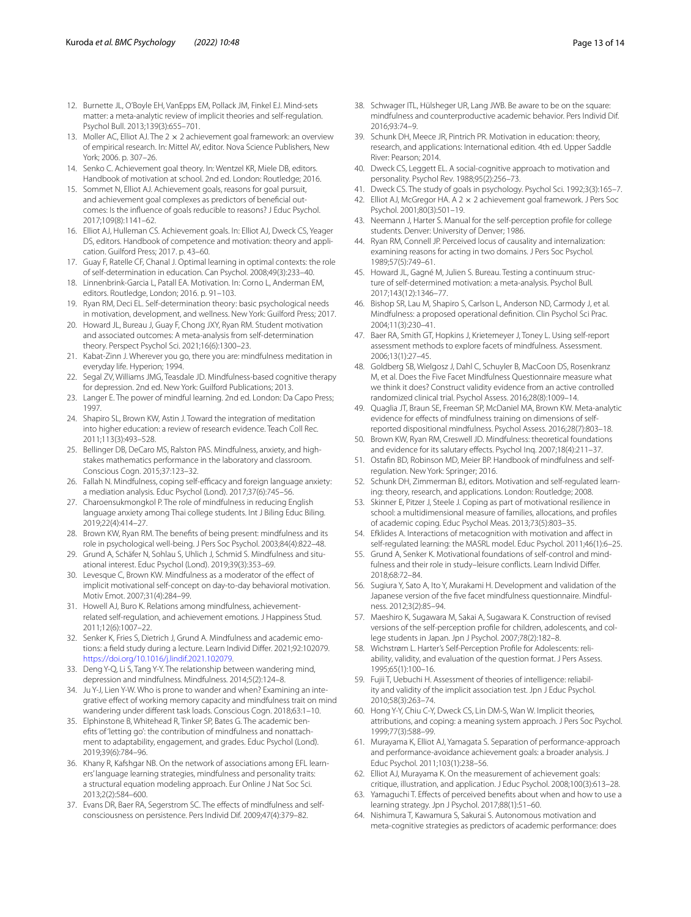- <span id="page-12-16"></span>12. Burnette JL, O'Boyle EH, VanEpps EM, Pollack JM, Finkel EJ. Mind-sets matter: a meta-analytic review of implicit theories and self-regulation. Psychol Bull. 2013;139(3):655–701.
- <span id="page-12-17"></span>13. Moller AC, Elliot AJ. The  $2 \times 2$  achievement goal framework: an overview of empirical research. In: Mittel AV, editor. Nova Science Publishers, New York; 2006. p. 307–26.
- 14. Senko C. Achievement goal theory. In: Wentzel KR, Miele DB, editors. Handbook of motivation at school. 2nd ed. London: Routledge; 2016.
- 15. Sommet N, Elliot AJ. Achievement goals, reasons for goal pursuit, and achievement goal complexes as predictors of benefcial outcomes: Is the infuence of goals reducible to reasons? J Educ Psychol. 2017;109(8):1141–62.
- <span id="page-12-13"></span>16. Elliot AJ, Hulleman CS. Achievement goals. In: Elliot AJ, Dweck CS, Yeager DS, editors. Handbook of competence and motivation: theory and application. Guilford Press; 2017. p. 43–60.
- <span id="page-12-18"></span>17. Guay F, Ratelle CF, Chanal J. Optimal learning in optimal contexts: the role of self-determination in education. Can Psychol. 2008;49(3):233–40.
- 18. Linnenbrink-Garcia L, Patall EA. Motivation. In: Corno L, Anderman EM, editors. Routledge, London; 2016. p. 91–103.
- <span id="page-12-11"></span>19. Ryan RM, Deci EL. Self-determination theory: basic psychological needs in motivation, development, and wellness. New York: Guilford Press; 2017.
- <span id="page-12-0"></span>20. Howard JL, Bureau J, Guay F, Chong JXY, Ryan RM. Student motivation and associated outcomes: A meta-analysis from self-determination theory. Perspect Psychol Sci. 2021;16(6):1300–23.
- <span id="page-12-1"></span>21. Kabat-Zinn J. Wherever you go, there you are: mindfulness meditation in everyday life. Hyperion; 1994.
- <span id="page-12-2"></span>22. Segal ZV, Williams JMG, Teasdale JD. Mindfulness-based cognitive therapy for depression. 2nd ed. New York: Guilford Publications; 2013.
- <span id="page-12-3"></span>23. Langer E. The power of mindful learning. 2nd ed. London: Da Capo Press; 1997.
- <span id="page-12-4"></span>24. Shapiro SL, Brown KW, Astin J. Toward the integration of meditation into higher education: a review of research evidence. Teach Coll Rec. 2011;113(3):493–528.
- <span id="page-12-5"></span>25. Bellinger DB, DeCaro MS, Ralston PAS. Mindfulness, anxiety, and highstakes mathematics performance in the laboratory and classroom. Conscious Cogn. 2015;37:123–32.
- <span id="page-12-38"></span>26. Fallah N. Mindfulness, coping self-efficacy and foreign language anxiety: a mediation analysis. Educ Psychol (Lond). 2017;37(6):745–56.
- <span id="page-12-25"></span>27. Charoensukmongkol P. The role of mindfulness in reducing English language anxiety among Thai college students. Int J Biling Educ Biling. 2019;22(4):414–27.
- <span id="page-12-21"></span>28. Brown KW, Ryan RM. The benefts of being present: mindfulness and its role in psychological well-being. J Pers Soc Psychol. 2003;84(4):822–48.
- <span id="page-12-49"></span>29. Grund A, Schäfer N, Sohlau S, Uhlich J, Schmid S. Mindfulness and situational interest. Educ Psychol (Lond). 2019;39(3):353–69.
- <span id="page-12-28"></span>30. Levesque C, Brown KW. Mindfulness as a moderator of the effect of implicit motivational self-concept on day-to-day behavioral motivation. Motiv Emot. 2007;31(4):284–99.
- <span id="page-12-26"></span>31. Howell AJ, Buro K. Relations among mindfulness, achievementrelated self-regulation, and achievement emotions. J Happiness Stud. 2011;12(6):1007–22.
- <span id="page-12-22"></span>32. Senker K, Fries S, Dietrich J, Grund A. Mindfulness and academic emotions: a feld study during a lecture. Learn Individ Difer. 2021;92:102079. <https://doi.org/10.1016/j.lindif.2021.102079>.
- <span id="page-12-29"></span>33. Deng Y-Q, Li S, Tang Y-Y. The relationship between wandering mind, depression and mindfulness. Mindfulness. 2014;5(2):124–8.
- <span id="page-12-30"></span>34. Ju Y-J, Lien Y-W. Who is prone to wander and when? Examining an integrative efect of working memory capacity and mindfulness trait on mind wandering under diferent task loads. Conscious Cogn. 2018;63:1–10.
- <span id="page-12-31"></span>35. Elphinstone B, Whitehead R, Tinker SP, Bates G. The academic benefts of 'letting go': the contribution of mindfulness and nonattachment to adaptability, engagement, and grades. Educ Psychol (Lond). 2019;39(6):784–96.
- <span id="page-12-32"></span>36. Khany R, Kafshgar NB. On the network of associations among EFL learners' language learning strategies, mindfulness and personality traits: a structural equation modeling approach. Eur Online J Nat Soc Sci. 2013;2(2):584–600.
- <span id="page-12-33"></span>37. Evans DR, Baer RA, Segerstrom SC. The effects of mindfulness and selfconsciousness on persistence. Pers Individ Dif. 2009;47(4):379–82.
- <span id="page-12-6"></span>38. Schwager ITL, Hülsheger UR, Lang JWB. Be aware to be on the square: mindfulness and counterproductive academic behavior. Pers Individ Dif. 2016;93:74–9.
- <span id="page-12-7"></span>39. Schunk DH, Meece JR, Pintrich PR. Motivation in education: theory, research, and applications: International edition. 4th ed. Upper Saddle River: Pearson; 2014.
- <span id="page-12-8"></span>40. Dweck CS, Leggett EL. A social-cognitive approach to motivation and personality. Psychol Rev. 1988;95(2):256–73.
- <span id="page-12-9"></span>41. Dweck CS. The study of goals in psychology. Psychol Sci. 1992;3(3):165–7.
- <span id="page-12-10"></span>42. Elliot AJ, McGregor HA. A 2 x 2 achievement goal framework. J Pers Soc Psychol. 2001;80(3):501–19.
- <span id="page-12-12"></span>43. Neemann J, Harter S. Manual for the self-perception profle for college students. Denver: University of Denver; 1986.
- <span id="page-12-14"></span>44. Ryan RM, Connell JP. Perceived locus of causality and internalization: examining reasons for acting in two domains. J Pers Soc Psychol. 1989;57(5):749–61.
- <span id="page-12-15"></span>45. Howard JL, Gagné M, Julien S. Bureau. Testing a continuum structure of self-determined motivation: a meta-analysis. Psychol Bull. 2017;143(12):1346–77.
- <span id="page-12-19"></span>46. Bishop SR, Lau M, Shapiro S, Carlson L, Anderson ND, Carmody J, et al. Mindfulness: a proposed operational defnition. Clin Psychol Sci Prac. 2004;11(3):230–41.
- <span id="page-12-20"></span>47. Baer RA, Smith GT, Hopkins J, Krietemeyer J, Toney L. Using self-report assessment methods to explore facets of mindfulness. Assessment. 2006;13(1):27–45.
- <span id="page-12-23"></span>48. Goldberg SB, Wielgosz J, Dahl C, Schuyler B, MacCoon DS, Rosenkranz M, et al. Does the Five Facet Mindfulness Questionnaire measure what we think it does? Construct validity evidence from an active controlled randomized clinical trial. Psychol Assess. 2016;28(8):1009–14.
- <span id="page-12-24"></span>49. Quaglia JT, Braun SE, Freeman SP, McDaniel MA, Brown KW. Meta-analytic evidence for efects of mindfulness training on dimensions of selfreported dispositional mindfulness. Psychol Assess. 2016;28(7):803–18.
- <span id="page-12-27"></span>50. Brown KW, Ryan RM, Creswell JD. Mindfulness: theoretical foundations and evidence for its salutary efects. Psychol Inq. 2007;18(4):211–37.
- <span id="page-12-34"></span>51. Ostafn BD, Robinson MD, Meier BP. Handbook of mindfulness and selfregulation. New York: Springer; 2016.
- <span id="page-12-35"></span>52. Schunk DH, Zimmerman BJ, editors. Motivation and self-regulated learning: theory, research, and applications. London: Routledge; 2008.
- <span id="page-12-36"></span>53. Skinner E, Pitzer J, Steele J. Coping as part of motivational resilience in school: a multidimensional measure of families, allocations, and profles of academic coping. Educ Psychol Meas. 2013;73(5):803–35.
- <span id="page-12-37"></span>54. Efklides A. Interactions of metacognition with motivation and afect in self-regulated learning: the MASRL model. Educ Psychol. 2011;46(1):6–25.
- <span id="page-12-39"></span>55. Grund A, Senker K. Motivational foundations of self-control and mindfulness and their role in study–leisure conficts. Learn Individ Difer. 2018;68:72–84.
- <span id="page-12-40"></span>56. Sugiura Y, Sato A, Ito Y, Murakami H. Development and validation of the Japanese version of the fve facet mindfulness questionnaire. Mindfulness. 2012;3(2):85–94.
- <span id="page-12-41"></span>57. Maeshiro K, Sugawara M, Sakai A, Sugawara K. Construction of revised versions of the self-perception profle for children, adolescents, and college students in Japan. Jpn J Psychol. 2007;78(2):182–8.
- <span id="page-12-42"></span>58. Wichstrøm L. Harter's Self-Perception Profle for Adolescents: reliability, validity, and evaluation of the question format. J Pers Assess. 1995;65(1):100–16.
- <span id="page-12-43"></span>59. Fujii T, Uebuchi H. Assessment of theories of intelligence: reliability and validity of the implicit association test. Jpn J Educ Psychol. 2010;58(3):263–74.
- <span id="page-12-44"></span>60. Hong Y-Y, Chiu C-Y, Dweck CS, Lin DM-S, Wan W. Implicit theories, attributions, and coping: a meaning system approach. J Pers Soc Psychol. 1999;77(3):588–99.
- <span id="page-12-45"></span>61. Murayama K, Elliot AJ, Yamagata S. Separation of performance-approach and performance-avoidance achievement goals: a broader analysis. J Educ Psychol. 2011;103(1):238–56.
- <span id="page-12-46"></span>62. Elliot AJ, Murayama K. On the measurement of achievement goals: critique, illustration, and application. J Educ Psychol. 2008;100(3):613–28.
- <span id="page-12-47"></span>63. Yamaguchi T. Efects of perceived benefts about when and how to use a learning strategy. Jpn J Psychol. 2017;88(1):51–60.
- <span id="page-12-48"></span>64. Nishimura T, Kawamura S, Sakurai S. Autonomous motivation and meta-cognitive strategies as predictors of academic performance: does